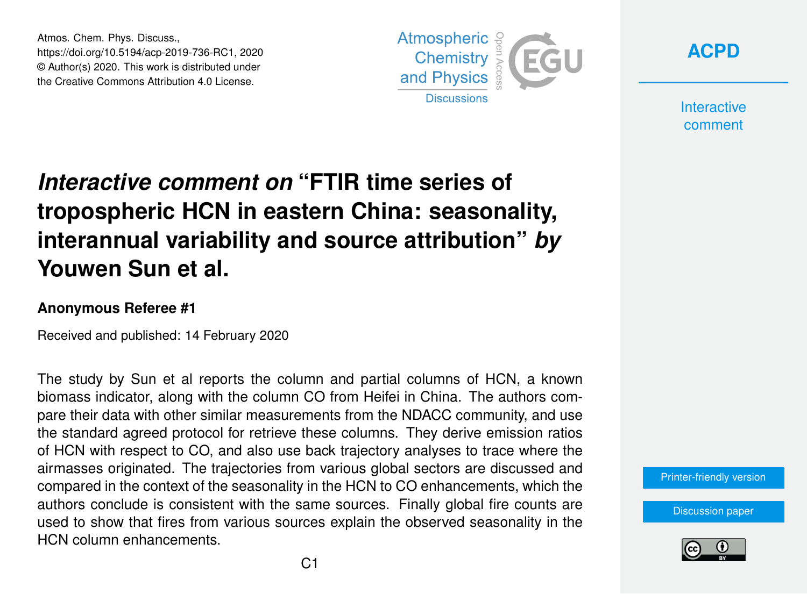Atmos. Chem. Phys. Discuss., https://doi.org/10.5194/acp-2019-736-RC1, 2020 © Author(s) 2020. This work is distributed under the Creative Commons Attribution 4.0 License.





**Interactive** comment

## *Interactive comment on* **"FTIR time series of tropospheric HCN in eastern China: seasonality, interannual variability and source attribution"** *by* **Youwen Sun et al.**

## **Anonymous Referee #1**

Received and published: 14 February 2020

The study by Sun et al reports the column and partial columns of HCN, a known biomass indicator, along with the column CO from Heifei in China. The authors compare their data with other similar measurements from the NDACC community, and use the standard agreed protocol for retrieve these columns. They derive emission ratios of HCN with respect to CO, and also use back trajectory analyses to trace where the airmasses originated. The trajectories from various global sectors are discussed and compared in the context of the seasonality in the HCN to CO enhancements, which the authors conclude is consistent with the same sources. Finally global fire counts are used to show that fires from various sources explain the observed seasonality in the HCN column enhancements.

[Printer-friendly version](https://www.atmos-chem-phys-discuss.net/acp-2019-736/acp-2019-736-RC1-print.pdf)

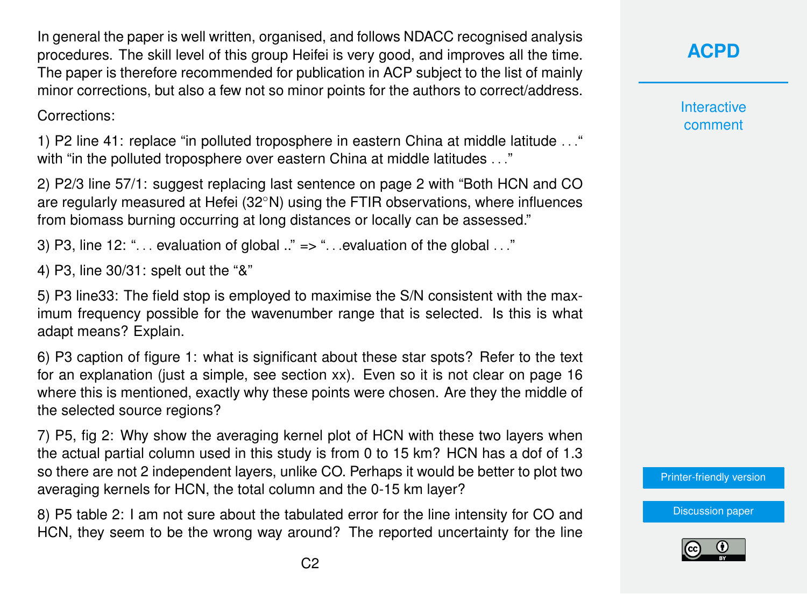In general the paper is well written, organised, and follows NDACC recognised analysis procedures. The skill level of this group Heifei is very good, and improves all the time. The paper is therefore recommended for publication in ACP subject to the list of mainly minor corrections, but also a few not so minor points for the authors to correct/address.

Corrections:

1) P2 line 41: replace "in polluted troposphere in eastern China at middle latitude . . ." with "in the polluted troposphere over eastern China at middle latitudes . . ."

2) P2/3 line 57/1: suggest replacing last sentence on page 2 with "Both HCN and CO are regularly measured at Hefei (32◦N) using the FTIR observations, where influences from biomass burning occurring at long distances or locally can be assessed."

3) P3, line 12: " $\dots$  evaluation of global  $\ddots$ " => " $\dots$  evaluation of the global  $\dots$ "

4) P3, line 30/31: spelt out the "&"

5) P3 line33: The field stop is employed to maximise the S/N consistent with the maximum frequency possible for the wavenumber range that is selected. Is this is what adapt means? Explain.

6) P3 caption of figure 1: what is significant about these star spots? Refer to the text for an explanation (just a simple, see section xx). Even so it is not clear on page 16 where this is mentioned, exactly why these points were chosen. Are they the middle of the selected source regions?

7) P5, fig 2: Why show the averaging kernel plot of HCN with these two layers when the actual partial column used in this study is from 0 to 15 km? HCN has a dof of 1.3 so there are not 2 independent layers, unlike CO. Perhaps it would be better to plot two averaging kernels for HCN, the total column and the 0-15 km layer?

8) P5 table 2: I am not sure about the tabulated error for the line intensity for CO and HCN, they seem to be the wrong way around? The reported uncertainty for the line **[ACPD](https://www.atmos-chem-phys-discuss.net/)**

**Interactive** comment

[Printer-friendly version](https://www.atmos-chem-phys-discuss.net/acp-2019-736/acp-2019-736-RC1-print.pdf)

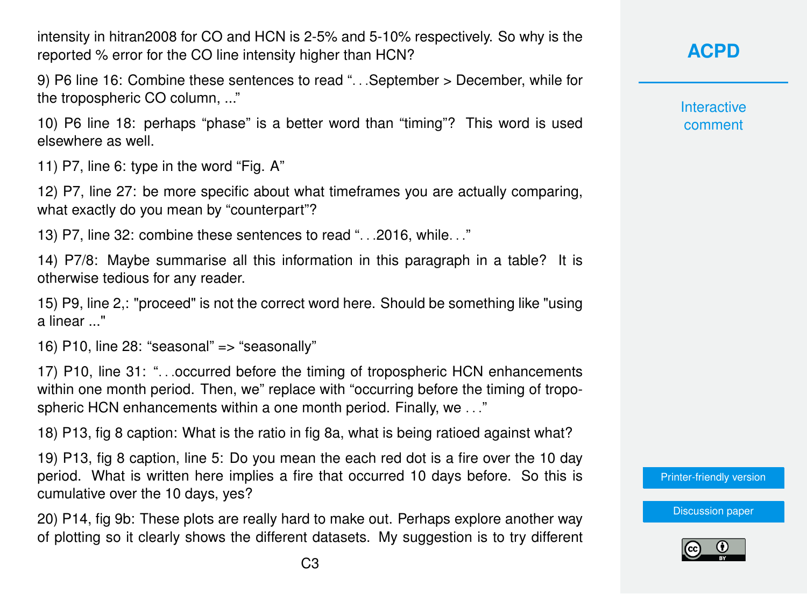intensity in hitran2008 for CO and HCN is 2-5% and 5-10% respectively. So why is the reported % error for the CO line intensity higher than HCN?

9) P6 line 16: Combine these sentences to read ". . .September > December, while for the tropospheric CO column, ..."

10) P6 line 18: perhaps "phase" is a better word than "timing"? This word is used elsewhere as well.

11) P7, line 6: type in the word "Fig. A"

12) P7, line 27: be more specific about what timeframes you are actually comparing, what exactly do you mean by "counterpart"?

13) P7, line 32: combine these sentences to read ". . .2016, while. . ."

14) P7/8: Maybe summarise all this information in this paragraph in a table? It is otherwise tedious for any reader.

15) P9, line 2,: "proceed" is not the correct word here. Should be something like "using a linear ..."

16) P10, line 28: "seasonal" => "seasonally"

17) P10, line 31: ". . .occurred before the timing of tropospheric HCN enhancements within one month period. Then, we" replace with "occurring before the timing of tropospheric HCN enhancements within a one month period. Finally, we . . ."

18) P13, fig 8 caption: What is the ratio in fig 8a, what is being ratioed against what?

19) P13, fig 8 caption, line 5: Do you mean the each red dot is a fire over the 10 day period. What is written here implies a fire that occurred 10 days before. So this is cumulative over the 10 days, yes?

20) P14, fig 9b: These plots are really hard to make out. Perhaps explore another way of plotting so it clearly shows the different datasets. My suggestion is to try different **[ACPD](https://www.atmos-chem-phys-discuss.net/)**

**Interactive** comment

[Printer-friendly version](https://www.atmos-chem-phys-discuss.net/acp-2019-736/acp-2019-736-RC1-print.pdf)